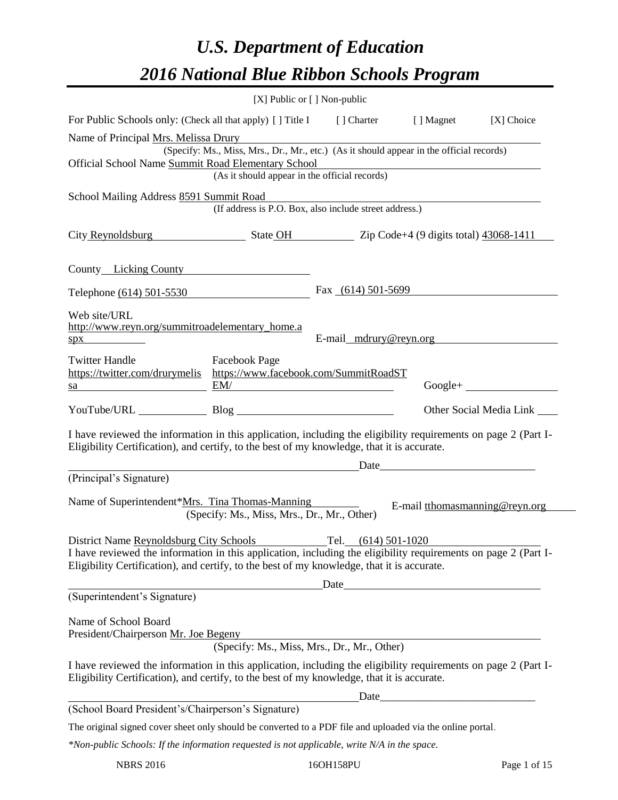# *U.S. Department of Education 2016 National Blue Ribbon Schools Program*

|                                                                                                                                                                                                                                                         |                                                                                          | [X] Public or [] Non-public |                                                                                                                                                                                                                                                                                                                                                                                                               |                                |
|---------------------------------------------------------------------------------------------------------------------------------------------------------------------------------------------------------------------------------------------------------|------------------------------------------------------------------------------------------|-----------------------------|---------------------------------------------------------------------------------------------------------------------------------------------------------------------------------------------------------------------------------------------------------------------------------------------------------------------------------------------------------------------------------------------------------------|--------------------------------|
| For Public Schools only: (Check all that apply) [] Title I [] Charter                                                                                                                                                                                   |                                                                                          |                             | [ ] Magnet                                                                                                                                                                                                                                                                                                                                                                                                    | [X] Choice                     |
| Name of Principal Mrs. Melissa Drury                                                                                                                                                                                                                    |                                                                                          |                             |                                                                                                                                                                                                                                                                                                                                                                                                               |                                |
| Official School Name Summit Road Elementary School                                                                                                                                                                                                      | (Specify: Ms., Miss, Mrs., Dr., Mr., etc.) (As it should appear in the official records) |                             |                                                                                                                                                                                                                                                                                                                                                                                                               |                                |
|                                                                                                                                                                                                                                                         | (As it should appear in the official records)                                            |                             | <u> 1989 - Johann Barn, mars ann an t-Amhain Aonaichte ann an t-Aonaichte ann an t-Aonaichte ann an t-Aonaichte a</u>                                                                                                                                                                                                                                                                                         |                                |
| School Mailing Address 8591 Summit Road                                                                                                                                                                                                                 |                                                                                          |                             |                                                                                                                                                                                                                                                                                                                                                                                                               |                                |
|                                                                                                                                                                                                                                                         | (If address is P.O. Box, also include street address.)                                   |                             |                                                                                                                                                                                                                                                                                                                                                                                                               |                                |
| City Reynoldsburg State OH Zip Code+4 (9 digits total) 43068-1411                                                                                                                                                                                       |                                                                                          |                             |                                                                                                                                                                                                                                                                                                                                                                                                               |                                |
| County Licking County                                                                                                                                                                                                                                   |                                                                                          |                             |                                                                                                                                                                                                                                                                                                                                                                                                               |                                |
| Telephone (614) 501-5530                                                                                                                                                                                                                                |                                                                                          | Fax $(614)$ 501-5699        |                                                                                                                                                                                                                                                                                                                                                                                                               |                                |
| Web site/URL<br>http://www.reyn.org/summitroadelementary_home.a<br>$spx$ and $\overline{\phantom{a}}$                                                                                                                                                   |                                                                                          | E-mail mdrury@reyn.org      |                                                                                                                                                                                                                                                                                                                                                                                                               |                                |
| <b>Twitter Handle</b><br>https://twitter.com/drurymelis https://www.facebook.com/SummitRoadST<br>$\mathbf{S}$ a $\mathbf{E}$ M/                                                                                                                         | <b>Facebook Page</b>                                                                     |                             |                                                                                                                                                                                                                                                                                                                                                                                                               | $Google +$                     |
| YouTube/URL Blog Blog                                                                                                                                                                                                                                   |                                                                                          |                             |                                                                                                                                                                                                                                                                                                                                                                                                               | Other Social Media Link        |
| I have reviewed the information in this application, including the eligibility requirements on page 2 (Part I-<br>Eligibility Certification), and certify, to the best of my knowledge, that it is accurate.                                            |                                                                                          |                             |                                                                                                                                                                                                                                                                                                                                                                                                               |                                |
|                                                                                                                                                                                                                                                         |                                                                                          |                             | $Date$ $\qquad \qquad$ $\qquad \qquad$ $\qquad \qquad$ $\qquad \qquad$ $\qquad \qquad$ $\qquad \qquad$ $\qquad \qquad$ $\qquad \qquad$ $\qquad \qquad$ $\qquad \qquad \qquad$ $\qquad \qquad$ $\qquad \qquad$ $\qquad \qquad$ $\qquad \qquad$ $\qquad \qquad$ $\qquad \qquad$ $\qquad \qquad$ $\qquad \qquad$ $\qquad \qquad$ $\qquad \qquad$ $\qquad \qquad$ $\qquad \qquad$ $\qquad \qquad$ $\qquad \qquad$ |                                |
| (Principal's Signature)                                                                                                                                                                                                                                 |                                                                                          |                             |                                                                                                                                                                                                                                                                                                                                                                                                               |                                |
| Name of Superintendent*Mrs. Tina Thomas-Manning                                                                                                                                                                                                         | (Specify: Ms., Miss, Mrs., Dr., Mr., Other)                                              |                             |                                                                                                                                                                                                                                                                                                                                                                                                               | E-mail tthomasmanning@reyn.org |
| District Name Reynoldsburg City Schools<br>I have reviewed the information in this application, including the eligibility requirements on page 2 (Part I-<br>Eligibility Certification), and certify, to the best of my knowledge, that it is accurate. |                                                                                          | Tel. $(614)$ 501-1020       |                                                                                                                                                                                                                                                                                                                                                                                                               |                                |
|                                                                                                                                                                                                                                                         | <u> 1980 - Johann Barbara, martin a</u>                                                  | Date                        |                                                                                                                                                                                                                                                                                                                                                                                                               |                                |
| (Superintendent's Signature)                                                                                                                                                                                                                            |                                                                                          |                             |                                                                                                                                                                                                                                                                                                                                                                                                               |                                |
| Name of School Board<br>President/Chairperson Mr. Joe Begeny                                                                                                                                                                                            |                                                                                          |                             |                                                                                                                                                                                                                                                                                                                                                                                                               |                                |
|                                                                                                                                                                                                                                                         | (Specify: Ms., Miss, Mrs., Dr., Mr., Other)                                              |                             |                                                                                                                                                                                                                                                                                                                                                                                                               |                                |
| I have reviewed the information in this application, including the eligibility requirements on page 2 (Part I-<br>Eligibility Certification), and certify, to the best of my knowledge, that it is accurate.                                            |                                                                                          |                             |                                                                                                                                                                                                                                                                                                                                                                                                               |                                |
|                                                                                                                                                                                                                                                         |                                                                                          |                             | Date                                                                                                                                                                                                                                                                                                                                                                                                          |                                |
| (School Board President's/Chairperson's Signature)                                                                                                                                                                                                      |                                                                                          |                             |                                                                                                                                                                                                                                                                                                                                                                                                               |                                |
| The original signed cover sheet only should be converted to a PDF file and uploaded via the online portal.                                                                                                                                              |                                                                                          |                             |                                                                                                                                                                                                                                                                                                                                                                                                               |                                |
| *Non-public Schools: If the information requested is not applicable, write N/A in the space.                                                                                                                                                            |                                                                                          |                             |                                                                                                                                                                                                                                                                                                                                                                                                               |                                |

NBRS 2016 16OH158PU Page 1 of 15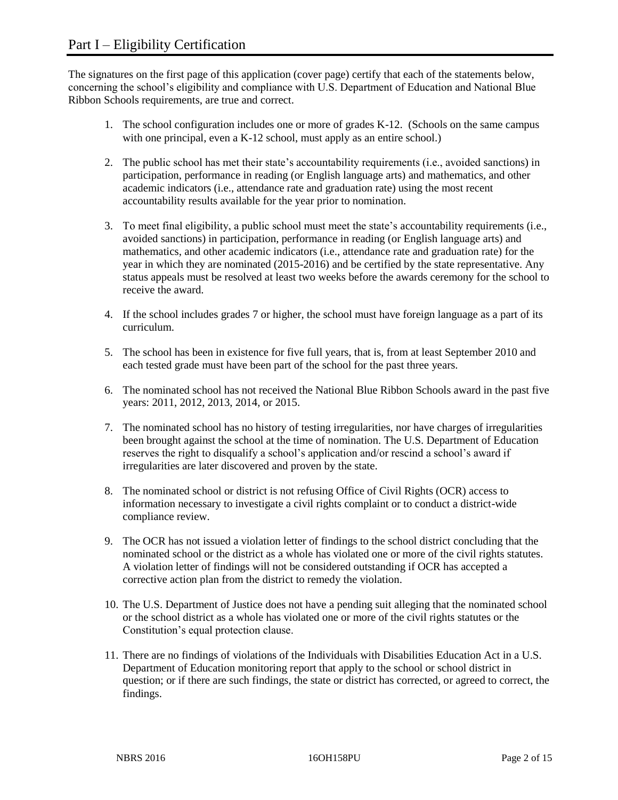The signatures on the first page of this application (cover page) certify that each of the statements below, concerning the school's eligibility and compliance with U.S. Department of Education and National Blue Ribbon Schools requirements, are true and correct.

- 1. The school configuration includes one or more of grades K-12. (Schools on the same campus with one principal, even a K-12 school, must apply as an entire school.)
- 2. The public school has met their state's accountability requirements (i.e., avoided sanctions) in participation, performance in reading (or English language arts) and mathematics, and other academic indicators (i.e., attendance rate and graduation rate) using the most recent accountability results available for the year prior to nomination.
- 3. To meet final eligibility, a public school must meet the state's accountability requirements (i.e., avoided sanctions) in participation, performance in reading (or English language arts) and mathematics, and other academic indicators (i.e., attendance rate and graduation rate) for the year in which they are nominated (2015-2016) and be certified by the state representative. Any status appeals must be resolved at least two weeks before the awards ceremony for the school to receive the award.
- 4. If the school includes grades 7 or higher, the school must have foreign language as a part of its curriculum.
- 5. The school has been in existence for five full years, that is, from at least September 2010 and each tested grade must have been part of the school for the past three years.
- 6. The nominated school has not received the National Blue Ribbon Schools award in the past five years: 2011, 2012, 2013, 2014, or 2015.
- 7. The nominated school has no history of testing irregularities, nor have charges of irregularities been brought against the school at the time of nomination. The U.S. Department of Education reserves the right to disqualify a school's application and/or rescind a school's award if irregularities are later discovered and proven by the state.
- 8. The nominated school or district is not refusing Office of Civil Rights (OCR) access to information necessary to investigate a civil rights complaint or to conduct a district-wide compliance review.
- 9. The OCR has not issued a violation letter of findings to the school district concluding that the nominated school or the district as a whole has violated one or more of the civil rights statutes. A violation letter of findings will not be considered outstanding if OCR has accepted a corrective action plan from the district to remedy the violation.
- 10. The U.S. Department of Justice does not have a pending suit alleging that the nominated school or the school district as a whole has violated one or more of the civil rights statutes or the Constitution's equal protection clause.
- 11. There are no findings of violations of the Individuals with Disabilities Education Act in a U.S. Department of Education monitoring report that apply to the school or school district in question; or if there are such findings, the state or district has corrected, or agreed to correct, the findings.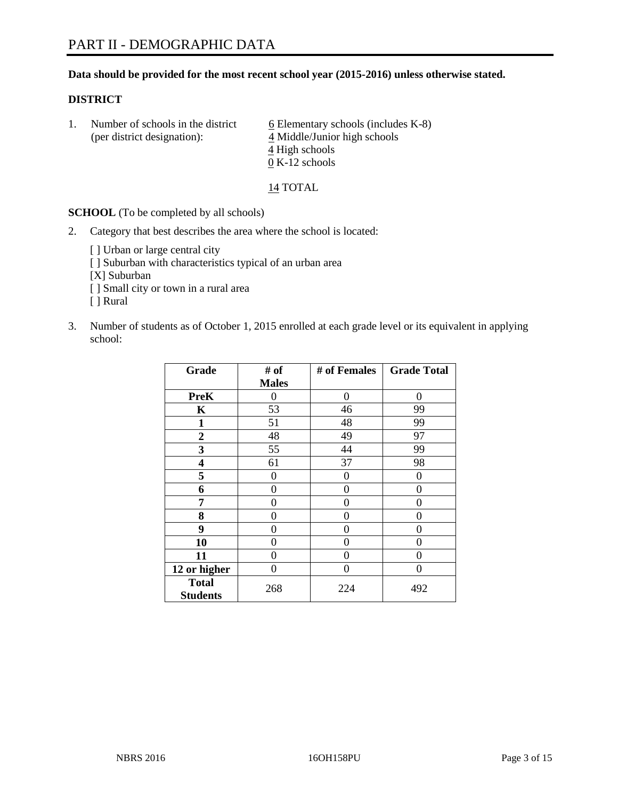# **Data should be provided for the most recent school year (2015-2016) unless otherwise stated.**

# **DISTRICT**

1. Number of schools in the district  $6$  Elementary schools (includes K-8) (per district designation): 4 Middle/Junior high schools 4 High schools 0 K-12 schools

14 TOTAL

**SCHOOL** (To be completed by all schools)

- 2. Category that best describes the area where the school is located:
	- [] Urban or large central city [ ] Suburban with characteristics typical of an urban area [X] Suburban [ ] Small city or town in a rural area [ ] Rural
- 3. Number of students as of October 1, 2015 enrolled at each grade level or its equivalent in applying school:

| Grade                           | # of         | # of Females | <b>Grade Total</b> |
|---------------------------------|--------------|--------------|--------------------|
|                                 | <b>Males</b> |              |                    |
| <b>PreK</b>                     | 0            | 0            | $\Omega$           |
| K                               | 53           | 46           | 99                 |
| 1                               | 51           | 48           | 99                 |
| 2                               | 48           | 49           | 97                 |
| 3                               | 55           | 44           | 99                 |
| 4                               | 61           | 37           | 98                 |
| 5                               | 0            | 0            | 0                  |
| 6                               | 0            | 0            | $\Omega$           |
| 7                               | 0            | 0            | $\Omega$           |
| 8                               | 0            | 0            | 0                  |
| 9                               | 0            | 0            | 0                  |
| 10                              | $\Omega$     | 0            | $\theta$           |
| 11                              | 0            | 0            | 0                  |
| 12 or higher                    | 0            | 0            | $\Omega$           |
| <b>Total</b><br><b>Students</b> | 268          | 224          | 492                |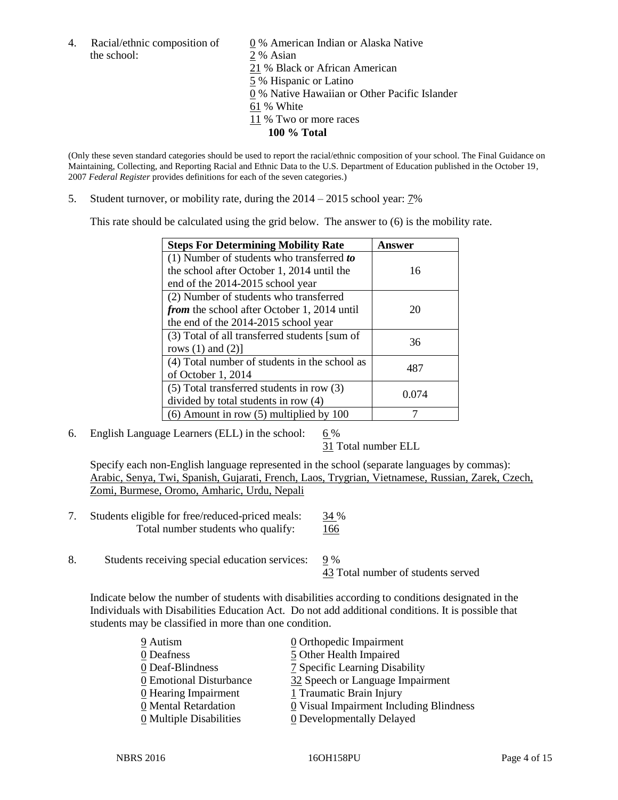the school: 2 % Asian

4. Racial/ethnic composition of  $\qquad 0\%$  American Indian or Alaska Native 21 % Black or African American 5 % Hispanic or Latino 0 % Native Hawaiian or Other Pacific Islander 61 % White 11 % Two or more races **100 % Total**

(Only these seven standard categories should be used to report the racial/ethnic composition of your school. The Final Guidance on Maintaining, Collecting, and Reporting Racial and Ethnic Data to the U.S. Department of Education published in the October 19, 2007 *Federal Register* provides definitions for each of the seven categories.)

5. Student turnover, or mobility rate, during the  $2014 - 2015$  school year:  $7\%$ 

This rate should be calculated using the grid below. The answer to (6) is the mobility rate.

| <b>Steps For Determining Mobility Rate</b>         | Answer |  |
|----------------------------------------------------|--------|--|
| $(1)$ Number of students who transferred to        |        |  |
| the school after October 1, 2014 until the         | 16     |  |
| end of the 2014-2015 school year                   |        |  |
| (2) Number of students who transferred             |        |  |
| <i>from</i> the school after October 1, 2014 until | 20     |  |
| the end of the 2014-2015 school year               |        |  |
| (3) Total of all transferred students [sum of      | 36     |  |
| rows $(1)$ and $(2)$ ]                             |        |  |
| (4) Total number of students in the school as      | 487    |  |
| of October 1, 2014                                 |        |  |
| (5) Total transferred students in row (3)          | 0.074  |  |
| divided by total students in row (4)               |        |  |
| $(6)$ Amount in row $(5)$ multiplied by 100        |        |  |

6. English Language Learners (ELL) in the school:  $6\%$ 

31 Total number ELL

Specify each non-English language represented in the school (separate languages by commas): Arabic, Senya, Twi, Spanish, Gujarati, French, Laos, Trygrian, Vietnamese, Russian, Zarek, Czech, Zomi, Burmese, Oromo, Amharic, Urdu, Nepali

- 7. Students eligible for free/reduced-priced meals: 34 % Total number students who qualify: 166
- 8. Students receiving special education services: 9 % 43 Total number of students served

Indicate below the number of students with disabilities according to conditions designated in the Individuals with Disabilities Education Act. Do not add additional conditions. It is possible that students may be classified in more than one condition.

| 9 Autism                              | 0 Orthopedic Impairment                 |
|---------------------------------------|-----------------------------------------|
| 0 Deafness                            | 5 Other Health Impaired                 |
| 0 Deaf-Blindness                      | 7 Specific Learning Disability          |
| 0 Emotional Disturbance               | 32 Speech or Language Impairment        |
| 0 Hearing Impairment                  | 1 Traumatic Brain Injury                |
| 0 Mental Retardation                  | 0 Visual Impairment Including Blindness |
| $\underline{0}$ Multiple Disabilities | <b>0</b> Developmentally Delayed        |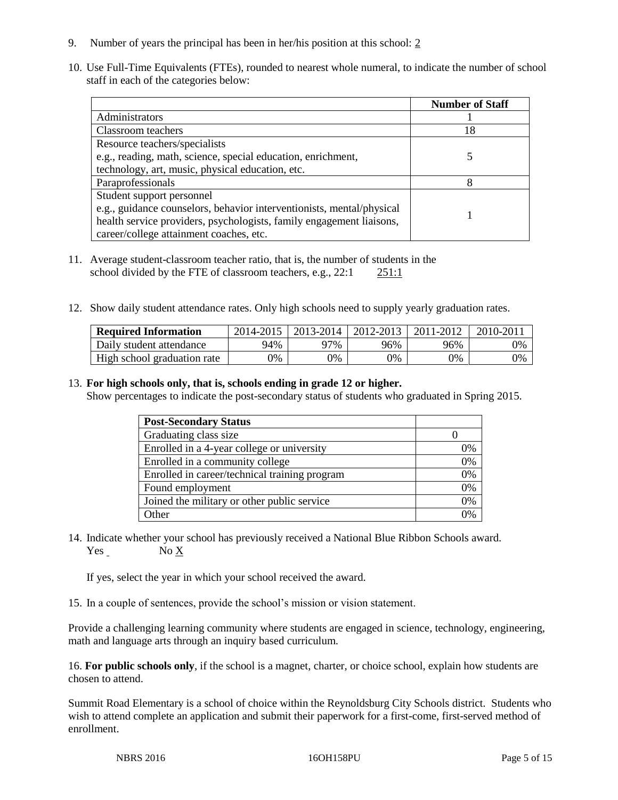- 9. Number of years the principal has been in her/his position at this school: 2
- 10. Use Full-Time Equivalents (FTEs), rounded to nearest whole numeral, to indicate the number of school staff in each of the categories below:

|                                                                       | <b>Number of Staff</b> |
|-----------------------------------------------------------------------|------------------------|
| Administrators                                                        |                        |
| Classroom teachers                                                    | 18                     |
| Resource teachers/specialists                                         |                        |
| e.g., reading, math, science, special education, enrichment,          |                        |
| technology, art, music, physical education, etc.                      |                        |
| Paraprofessionals                                                     | 8                      |
| Student support personnel                                             |                        |
| e.g., guidance counselors, behavior interventionists, mental/physical |                        |
| health service providers, psychologists, family engagement liaisons,  |                        |
| career/college attainment coaches, etc.                               |                        |

- 11. Average student-classroom teacher ratio, that is, the number of students in the school divided by the FTE of classroom teachers, e.g., 22:1 251:1
- 12. Show daily student attendance rates. Only high schools need to supply yearly graduation rates.

| <b>Required Information</b> | 2014-2015 | 2013-2014   2012-2013 |     | 2011-2012 | $2010 - 2011$ |
|-----------------------------|-----------|-----------------------|-----|-----------|---------------|
| Daily student attendance    | 94%       | 97%                   | 96% | 96%       | 0%            |
| High school graduation rate | 9%        | $0\%$                 | 0%  | 9%        | 0%            |

# 13. **For high schools only, that is, schools ending in grade 12 or higher.**

Show percentages to indicate the post-secondary status of students who graduated in Spring 2015.

| <b>Post-Secondary Status</b>                  |    |
|-----------------------------------------------|----|
| Graduating class size                         |    |
| Enrolled in a 4-year college or university    | 0% |
| Enrolled in a community college               | 0% |
| Enrolled in career/technical training program | 0% |
| Found employment                              | 0% |
| Joined the military or other public service   | 0% |
| Other                                         | 0/ |

14. Indicate whether your school has previously received a National Blue Ribbon Schools award. Yes No X

If yes, select the year in which your school received the award.

15. In a couple of sentences, provide the school's mission or vision statement.

Provide a challenging learning community where students are engaged in science, technology, engineering, math and language arts through an inquiry based curriculum.

16. **For public schools only**, if the school is a magnet, charter, or choice school, explain how students are chosen to attend.

Summit Road Elementary is a school of choice within the Reynoldsburg City Schools district. Students who wish to attend complete an application and submit their paperwork for a first-come, first-served method of enrollment.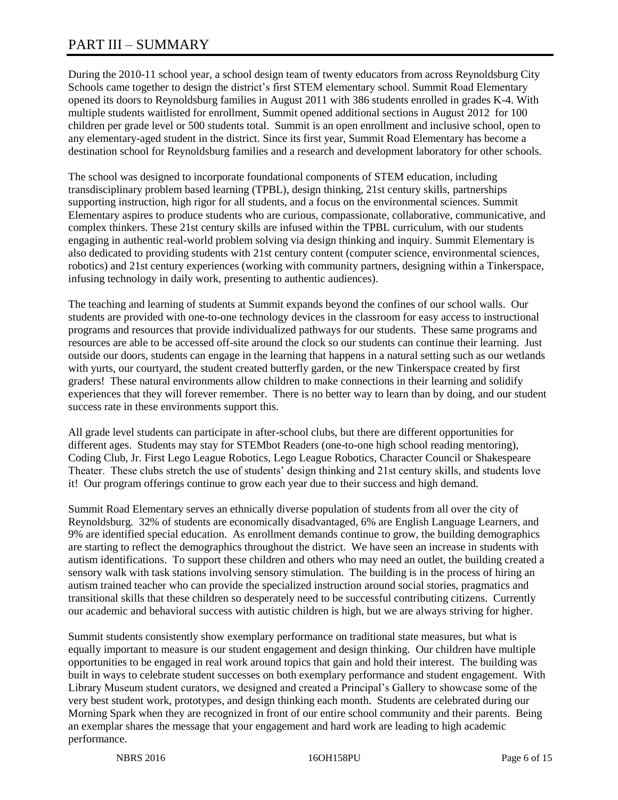# PART III – SUMMARY

During the 2010-11 school year, a school design team of twenty educators from across Reynoldsburg City Schools came together to design the district's first STEM elementary school. Summit Road Elementary opened its doors to Reynoldsburg families in August 2011 with 386 students enrolled in grades K-4. With multiple students waitlisted for enrollment, Summit opened additional sections in August 2012 for 100 children per grade level or 500 students total. Summit is an open enrollment and inclusive school, open to any elementary-aged student in the district. Since its first year, Summit Road Elementary has become a destination school for Reynoldsburg families and a research and development laboratory for other schools.

The school was designed to incorporate foundational components of STEM education, including transdisciplinary problem based learning (TPBL), design thinking, 21st century skills, partnerships supporting instruction, high rigor for all students, and a focus on the environmental sciences. Summit Elementary aspires to produce students who are curious, compassionate, collaborative, communicative, and complex thinkers. These 21st century skills are infused within the TPBL curriculum, with our students engaging in authentic real-world problem solving via design thinking and inquiry. Summit Elementary is also dedicated to providing students with 21st century content (computer science, environmental sciences, robotics) and 21st century experiences (working with community partners, designing within a Tinkerspace, infusing technology in daily work, presenting to authentic audiences).

The teaching and learning of students at Summit expands beyond the confines of our school walls. Our students are provided with one-to-one technology devices in the classroom for easy access to instructional programs and resources that provide individualized pathways for our students. These same programs and resources are able to be accessed off-site around the clock so our students can continue their learning. Just outside our doors, students can engage in the learning that happens in a natural setting such as our wetlands with yurts, our courtyard, the student created butterfly garden, or the new Tinkerspace created by first graders! These natural environments allow children to make connections in their learning and solidify experiences that they will forever remember. There is no better way to learn than by doing, and our student success rate in these environments support this.

All grade level students can participate in after-school clubs, but there are different opportunities for different ages. Students may stay for STEMbot Readers (one-to-one high school reading mentoring), Coding Club, Jr. First Lego League Robotics, Lego League Robotics, Character Council or Shakespeare Theater. These clubs stretch the use of students' design thinking and 21st century skills, and students love it! Our program offerings continue to grow each year due to their success and high demand.

Summit Road Elementary serves an ethnically diverse population of students from all over the city of Reynoldsburg. 32% of students are economically disadvantaged, 6% are English Language Learners, and 9% are identified special education. As enrollment demands continue to grow, the building demographics are starting to reflect the demographics throughout the district. We have seen an increase in students with autism identifications. To support these children and others who may need an outlet, the building created a sensory walk with task stations involving sensory stimulation. The building is in the process of hiring an autism trained teacher who can provide the specialized instruction around social stories, pragmatics and transitional skills that these children so desperately need to be successful contributing citizens. Currently our academic and behavioral success with autistic children is high, but we are always striving for higher.

Summit students consistently show exemplary performance on traditional state measures, but what is equally important to measure is our student engagement and design thinking. Our children have multiple opportunities to be engaged in real work around topics that gain and hold their interest. The building was built in ways to celebrate student successes on both exemplary performance and student engagement. With Library Museum student curators, we designed and created a Principal's Gallery to showcase some of the very best student work, prototypes, and design thinking each month. Students are celebrated during our Morning Spark when they are recognized in front of our entire school community and their parents. Being an exemplar shares the message that your engagement and hard work are leading to high academic performance.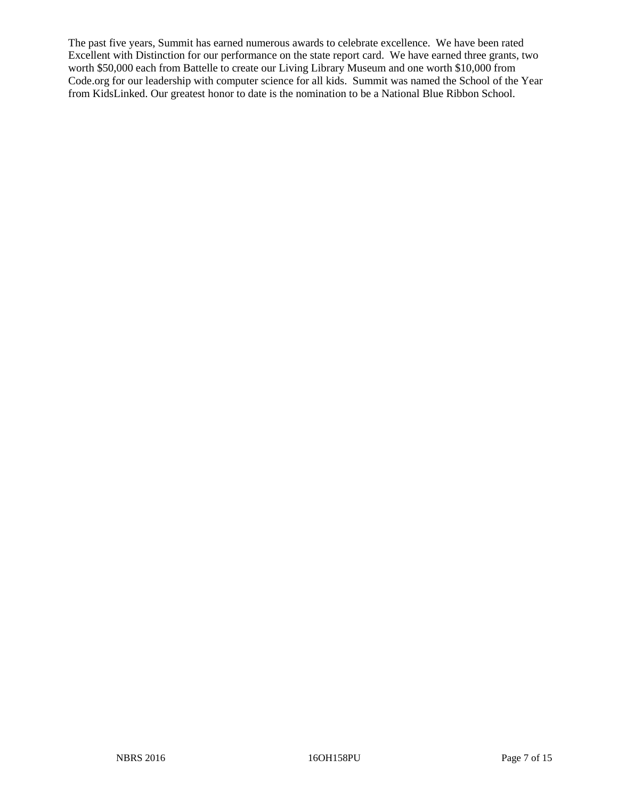The past five years, Summit has earned numerous awards to celebrate excellence. We have been rated Excellent with Distinction for our performance on the state report card. We have earned three grants, two worth \$50,000 each from Battelle to create our Living Library Museum and one worth \$10,000 from Code.org for our leadership with computer science for all kids. Summit was named the School of the Year from KidsLinked. Our greatest honor to date is the nomination to be a National Blue Ribbon School.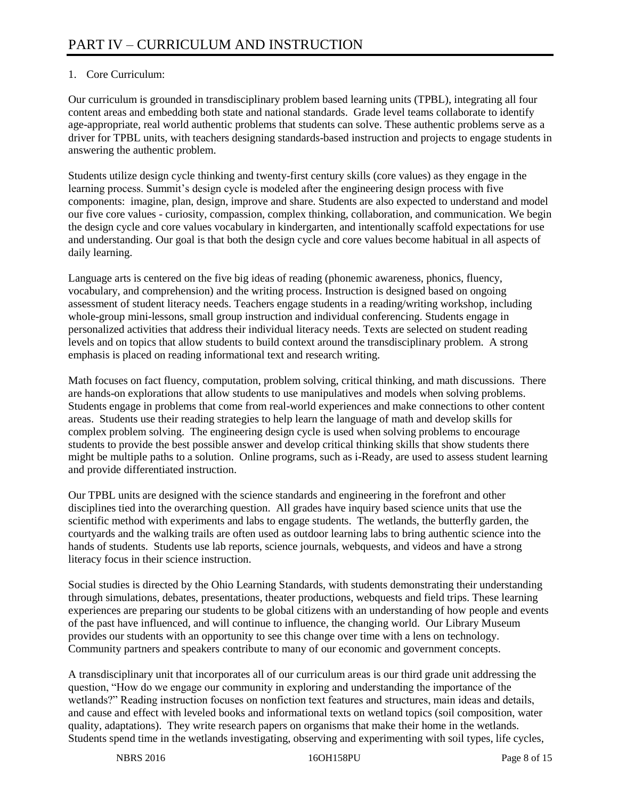# 1. Core Curriculum:

Our curriculum is grounded in transdisciplinary problem based learning units (TPBL), integrating all four content areas and embedding both state and national standards. Grade level teams collaborate to identify age-appropriate, real world authentic problems that students can solve. These authentic problems serve as a driver for TPBL units, with teachers designing standards-based instruction and projects to engage students in answering the authentic problem.

Students utilize design cycle thinking and twenty-first century skills (core values) as they engage in the learning process. Summit's design cycle is modeled after the engineering design process with five components: imagine, plan, design, improve and share. Students are also expected to understand and model our five core values - curiosity, compassion, complex thinking, collaboration, and communication. We begin the design cycle and core values vocabulary in kindergarten, and intentionally scaffold expectations for use and understanding. Our goal is that both the design cycle and core values become habitual in all aspects of daily learning.

Language arts is centered on the five big ideas of reading (phonemic awareness, phonics, fluency, vocabulary, and comprehension) and the writing process. Instruction is designed based on ongoing assessment of student literacy needs. Teachers engage students in a reading/writing workshop, including whole-group mini-lessons, small group instruction and individual conferencing. Students engage in personalized activities that address their individual literacy needs. Texts are selected on student reading levels and on topics that allow students to build context around the transdisciplinary problem. A strong emphasis is placed on reading informational text and research writing.

Math focuses on fact fluency, computation, problem solving, critical thinking, and math discussions. There are hands-on explorations that allow students to use manipulatives and models when solving problems. Students engage in problems that come from real-world experiences and make connections to other content areas. Students use their reading strategies to help learn the language of math and develop skills for complex problem solving. The engineering design cycle is used when solving problems to encourage students to provide the best possible answer and develop critical thinking skills that show students there might be multiple paths to a solution. Online programs, such as i-Ready, are used to assess student learning and provide differentiated instruction.

Our TPBL units are designed with the science standards and engineering in the forefront and other disciplines tied into the overarching question. All grades have inquiry based science units that use the scientific method with experiments and labs to engage students. The wetlands, the butterfly garden, the courtyards and the walking trails are often used as outdoor learning labs to bring authentic science into the hands of students. Students use lab reports, science journals, webquests, and videos and have a strong literacy focus in their science instruction.

Social studies is directed by the Ohio Learning Standards, with students demonstrating their understanding through simulations, debates, presentations, theater productions, webquests and field trips. These learning experiences are preparing our students to be global citizens with an understanding of how people and events of the past have influenced, and will continue to influence, the changing world. Our Library Museum provides our students with an opportunity to see this change over time with a lens on technology. Community partners and speakers contribute to many of our economic and government concepts.

A transdisciplinary unit that incorporates all of our curriculum areas is our third grade unit addressing the question, "How do we engage our community in exploring and understanding the importance of the wetlands?" Reading instruction focuses on nonfiction text features and structures, main ideas and details, and cause and effect with leveled books and informational texts on wetland topics (soil composition, water quality, adaptations). They write research papers on organisms that make their home in the wetlands. Students spend time in the wetlands investigating, observing and experimenting with soil types, life cycles,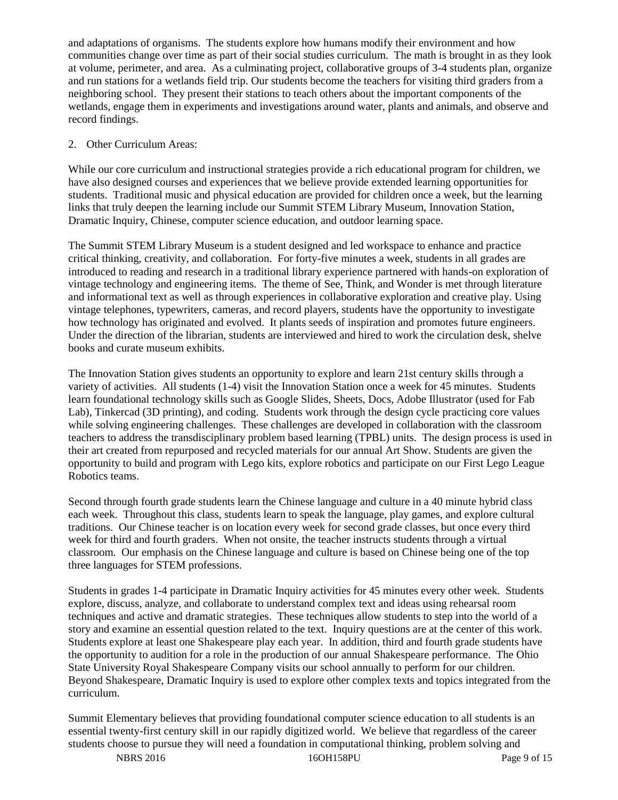and adaptations of organisms. The students explore how humans modify their environment and how communities change over time as part of their social studies curriculum. The math is brought in as they look at volume, perimeter, and area. As a culminating project, collaborative groups of 3-4 students plan, organize and run stations for a wetlands field trip. Our students become the teachers for visiting third graders from a neighboring school. They present their stations to teach others about the important components of the wetlands, engage them in experiments and investigations around water, plants and animals, and observe and record findings.

# 2. Other Curriculum Areas:

While our core curriculum and instructional strategies provide a rich educational program for children, we have also designed courses and experiences that we believe provide extended learning opportunities for students. Traditional music and physical education are provided for children once a week, but the learning links that truly deepen the learning include our Summit STEM Library Museum, Innovation Station, Dramatic Inquiry, Chinese, computer science education, and outdoor learning space.

The Summit STEM Library Museum is a student designed and led workspace to enhance and practice critical thinking, creativity, and collaboration. For forty-five minutes a week, students in all grades are introduced to reading and research in a traditional library experience partnered with hands-on exploration of vintage technology and engineering items. The theme of See, Think, and Wonder is met through literature and informational text as well as through experiences in collaborative exploration and creative play. Using vintage telephones, typewriters, cameras, and record players, students have the opportunity to investigate how technology has originated and evolved. It plants seeds of inspiration and promotes future engineers. Under the direction of the librarian, students are interviewed and hired to work the circulation desk, shelve books and curate museum exhibits.

The Innovation Station gives students an opportunity to explore and learn 21st century skills through a variety of activities. All students (1-4) visit the Innovation Station once a week for 45 minutes. Students learn foundational technology skills such as Google Slides, Sheets, Docs, Adobe Illustrator (used for Fab Lab), Tinkercad (3D printing), and coding. Students work through the design cycle practicing core values while solving engineering challenges. These challenges are developed in collaboration with the classroom teachers to address the transdisciplinary problem based learning (TPBL) units. The design process is used in their art created from repurposed and recycled materials for our annual Art Show. Students are given the opportunity to build and program with Lego kits, explore robotics and participate on our First Lego League Robotics teams.

Second through fourth grade students learn the Chinese language and culture in a 40 minute hybrid class each week. Throughout this class, students learn to speak the language, play games, and explore cultural traditions. Our Chinese teacher is on location every week for second grade classes, but once every third week for third and fourth graders. When not onsite, the teacher instructs students through a virtual classroom. Our emphasis on the Chinese language and culture is based on Chinese being one of the top three languages for STEM professions.

Students in grades 1-4 participate in Dramatic Inquiry activities for 45 minutes every other week. Students explore, discuss, analyze, and collaborate to understand complex text and ideas using rehearsal room techniques and active and dramatic strategies. These techniques allow students to step into the world of a story and examine an essential question related to the text. Inquiry questions are at the center of this work. Students explore at least one Shakespeare play each year. In addition, third and fourth grade students have the opportunity to audition for a role in the production of our annual Shakespeare performance. The Ohio State University Royal Shakespeare Company visits our school annually to perform for our children. Beyond Shakespeare, Dramatic Inquiry is used to explore other complex texts and topics integrated from the curriculum.

Summit Elementary believes that providing foundational computer science education to all students is an essential twenty-first century skill in our rapidly digitized world. We believe that regardless of the career students choose to pursue they will need a foundation in computational thinking, problem solving and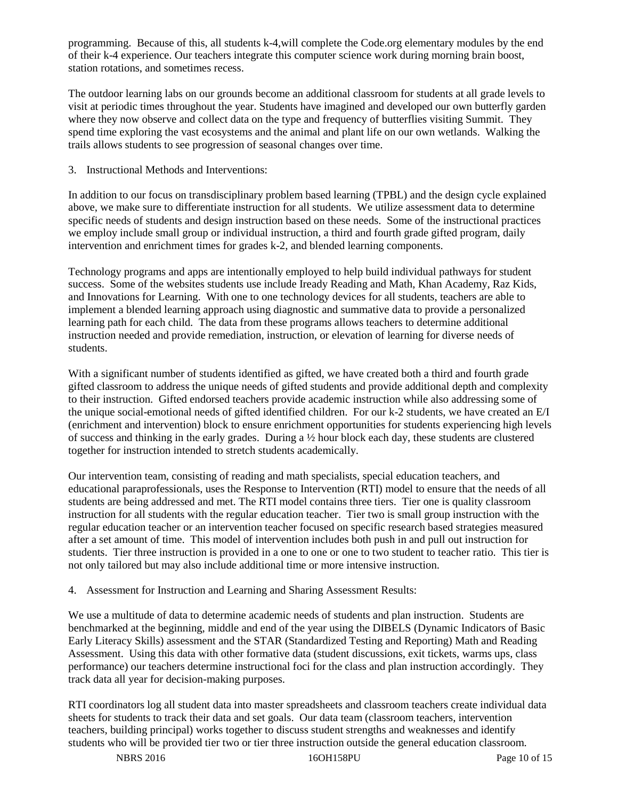programming. Because of this, all students k-4,will complete the Code.org elementary modules by the end of their k-4 experience. Our teachers integrate this computer science work during morning brain boost, station rotations, and sometimes recess.

The outdoor learning labs on our grounds become an additional classroom for students at all grade levels to visit at periodic times throughout the year. Students have imagined and developed our own butterfly garden where they now observe and collect data on the type and frequency of butterflies visiting Summit. They spend time exploring the vast ecosystems and the animal and plant life on our own wetlands. Walking the trails allows students to see progression of seasonal changes over time.

3. Instructional Methods and Interventions:

In addition to our focus on transdisciplinary problem based learning (TPBL) and the design cycle explained above, we make sure to differentiate instruction for all students. We utilize assessment data to determine specific needs of students and design instruction based on these needs. Some of the instructional practices we employ include small group or individual instruction, a third and fourth grade gifted program, daily intervention and enrichment times for grades k-2, and blended learning components.

Technology programs and apps are intentionally employed to help build individual pathways for student success. Some of the websites students use include Iready Reading and Math, Khan Academy, Raz Kids, and Innovations for Learning. With one to one technology devices for all students, teachers are able to implement a blended learning approach using diagnostic and summative data to provide a personalized learning path for each child. The data from these programs allows teachers to determine additional instruction needed and provide remediation, instruction, or elevation of learning for diverse needs of students.

With a significant number of students identified as gifted, we have created both a third and fourth grade gifted classroom to address the unique needs of gifted students and provide additional depth and complexity to their instruction. Gifted endorsed teachers provide academic instruction while also addressing some of the unique social-emotional needs of gifted identified children. For our k-2 students, we have created an E/I (enrichment and intervention) block to ensure enrichment opportunities for students experiencing high levels of success and thinking in the early grades. During a ½ hour block each day, these students are clustered together for instruction intended to stretch students academically.

Our intervention team, consisting of reading and math specialists, special education teachers, and educational paraprofessionals, uses the Response to Intervention (RTI) model to ensure that the needs of all students are being addressed and met. The RTI model contains three tiers. Tier one is quality classroom instruction for all students with the regular education teacher. Tier two is small group instruction with the regular education teacher or an intervention teacher focused on specific research based strategies measured after a set amount of time. This model of intervention includes both push in and pull out instruction for students. Tier three instruction is provided in a one to one or one to two student to teacher ratio. This tier is not only tailored but may also include additional time or more intensive instruction.

4. Assessment for Instruction and Learning and Sharing Assessment Results:

We use a multitude of data to determine academic needs of students and plan instruction. Students are benchmarked at the beginning, middle and end of the year using the DIBELS (Dynamic Indicators of Basic Early Literacy Skills) assessment and the STAR (Standardized Testing and Reporting) Math and Reading Assessment. Using this data with other formative data (student discussions, exit tickets, warms ups, class performance) our teachers determine instructional foci for the class and plan instruction accordingly. They track data all year for decision-making purposes.

RTI coordinators log all student data into master spreadsheets and classroom teachers create individual data sheets for students to track their data and set goals. Our data team (classroom teachers, intervention teachers, building principal) works together to discuss student strengths and weaknesses and identify students who will be provided tier two or tier three instruction outside the general education classroom.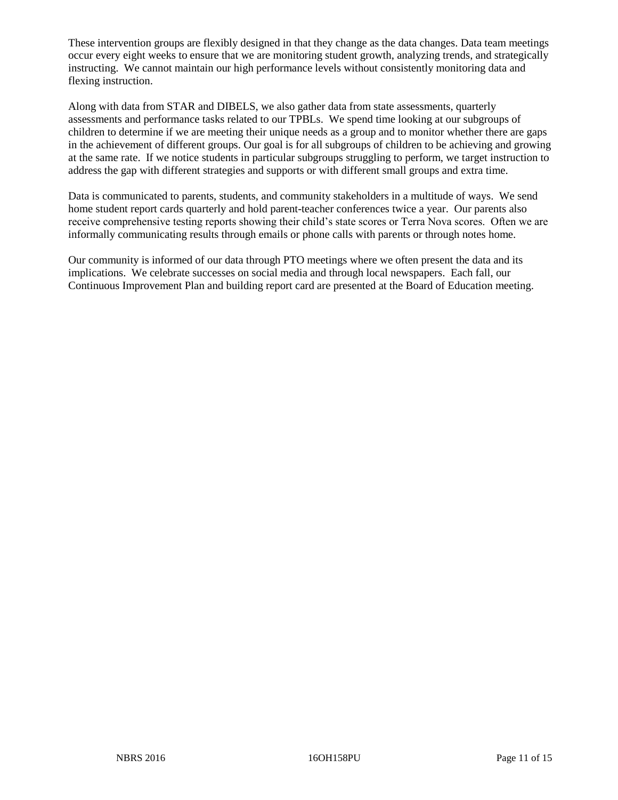These intervention groups are flexibly designed in that they change as the data changes. Data team meetings occur every eight weeks to ensure that we are monitoring student growth, analyzing trends, and strategically instructing. We cannot maintain our high performance levels without consistently monitoring data and flexing instruction.

Along with data from STAR and DIBELS, we also gather data from state assessments, quarterly assessments and performance tasks related to our TPBLs. We spend time looking at our subgroups of children to determine if we are meeting their unique needs as a group and to monitor whether there are gaps in the achievement of different groups. Our goal is for all subgroups of children to be achieving and growing at the same rate. If we notice students in particular subgroups struggling to perform, we target instruction to address the gap with different strategies and supports or with different small groups and extra time.

Data is communicated to parents, students, and community stakeholders in a multitude of ways. We send home student report cards quarterly and hold parent-teacher conferences twice a year. Our parents also receive comprehensive testing reports showing their child's state scores or Terra Nova scores. Often we are informally communicating results through emails or phone calls with parents or through notes home.

Our community is informed of our data through PTO meetings where we often present the data and its implications. We celebrate successes on social media and through local newspapers. Each fall, our Continuous Improvement Plan and building report card are presented at the Board of Education meeting.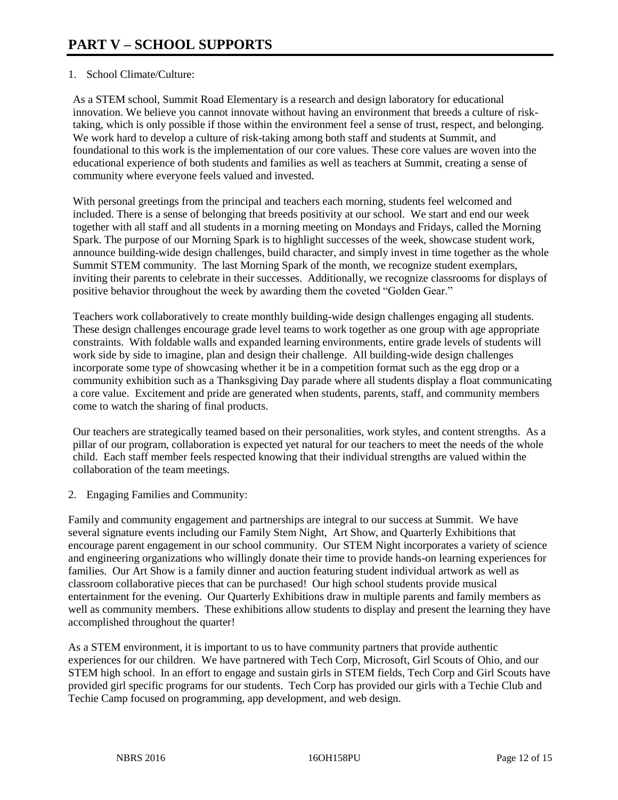# 1. School Climate/Culture:

As a STEM school, Summit Road Elementary is a research and design laboratory for educational innovation. We believe you cannot innovate without having an environment that breeds a culture of risktaking, which is only possible if those within the environment feel a sense of trust, respect, and belonging. We work hard to develop a culture of risk-taking among both staff and students at Summit, and foundational to this work is the implementation of our core values. These core values are woven into the educational experience of both students and families as well as teachers at Summit, creating a sense of community where everyone feels valued and invested.

With personal greetings from the principal and teachers each morning, students feel welcomed and included. There is a sense of belonging that breeds positivity at our school. We start and end our week together with all staff and all students in a morning meeting on Mondays and Fridays, called the Morning Spark. The purpose of our Morning Spark is to highlight successes of the week, showcase student work, announce building-wide design challenges, build character, and simply invest in time together as the whole Summit STEM community. The last Morning Spark of the month, we recognize student exemplars, inviting their parents to celebrate in their successes. Additionally, we recognize classrooms for displays of positive behavior throughout the week by awarding them the coveted "Golden Gear."

Teachers work collaboratively to create monthly building-wide design challenges engaging all students. These design challenges encourage grade level teams to work together as one group with age appropriate constraints. With foldable walls and expanded learning environments, entire grade levels of students will work side by side to imagine, plan and design their challenge. All building-wide design challenges incorporate some type of showcasing whether it be in a competition format such as the egg drop or a community exhibition such as a Thanksgiving Day parade where all students display a float communicating a core value. Excitement and pride are generated when students, parents, staff, and community members come to watch the sharing of final products.

Our teachers are strategically teamed based on their personalities, work styles, and content strengths. As a pillar of our program, collaboration is expected yet natural for our teachers to meet the needs of the whole child. Each staff member feels respected knowing that their individual strengths are valued within the collaboration of the team meetings.

2. Engaging Families and Community:

Family and community engagement and partnerships are integral to our success at Summit. We have several signature events including our Family Stem Night, Art Show, and Quarterly Exhibitions that encourage parent engagement in our school community. Our STEM Night incorporates a variety of science and engineering organizations who willingly donate their time to provide hands-on learning experiences for families. Our Art Show is a family dinner and auction featuring student individual artwork as well as classroom collaborative pieces that can be purchased! Our high school students provide musical entertainment for the evening. Our Quarterly Exhibitions draw in multiple parents and family members as well as community members. These exhibitions allow students to display and present the learning they have accomplished throughout the quarter!

As a STEM environment, it is important to us to have community partners that provide authentic experiences for our children. We have partnered with Tech Corp, Microsoft, Girl Scouts of Ohio, and our STEM high school. In an effort to engage and sustain girls in STEM fields, Tech Corp and Girl Scouts have provided girl specific programs for our students. Tech Corp has provided our girls with a Techie Club and Techie Camp focused on programming, app development, and web design.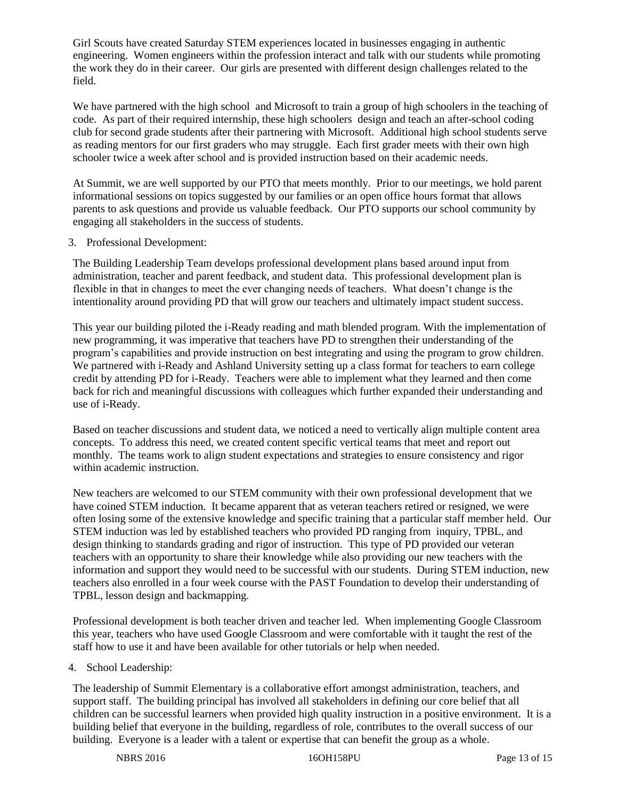Girl Scouts have created Saturday STEM experiences located in businesses engaging in authentic engineering. Women engineers within the profession interact and talk with our students while promoting the work they do in their career. Our girls are presented with different design challenges related to the field.

We have partnered with the high school and Microsoft to train a group of high schoolers in the teaching of code. As part of their required internship, these high schoolers design and teach an after-school coding club for second grade students after their partnering with Microsoft. Additional high school students serve as reading mentors for our first graders who may struggle. Each first grader meets with their own high schooler twice a week after school and is provided instruction based on their academic needs.

At Summit, we are well supported by our PTO that meets monthly. Prior to our meetings, we hold parent informational sessions on topics suggested by our families or an open office hours format that allows parents to ask questions and provide us valuable feedback. Our PTO supports our school community by engaging all stakeholders in the success of students.

#### 3. Professional Development:

The Building Leadership Team develops professional development plans based around input from administration, teacher and parent feedback, and student data. This professional development plan is flexible in that in changes to meet the ever changing needs of teachers. What doesn't change is the intentionality around providing PD that will grow our teachers and ultimately impact student success.

This year our building piloted the i-Ready reading and math blended program. With the implementation of new programming, it was imperative that teachers have PD to strengthen their understanding of the program's capabilities and provide instruction on best integrating and using the program to grow children. We partnered with i-Ready and Ashland University setting up a class format for teachers to earn college credit by attending PD for i-Ready. Teachers were able to implement what they learned and then come back for rich and meaningful discussions with colleagues which further expanded their understanding and use of i-Ready.

Based on teacher discussions and student data, we noticed a need to vertically align multiple content area concepts. To address this need, we created content specific vertical teams that meet and report out monthly. The teams work to align student expectations and strategies to ensure consistency and rigor within academic instruction.

New teachers are welcomed to our STEM community with their own professional development that we have coined STEM induction. It became apparent that as veteran teachers retired or resigned, we were often losing some of the extensive knowledge and specific training that a particular staff member held. Our STEM induction was led by established teachers who provided PD ranging from inquiry, TPBL, and design thinking to standards grading and rigor of instruction. This type of PD provided our veteran teachers with an opportunity to share their knowledge while also providing our new teachers with the information and support they would need to be successful with our students. During STEM induction, new teachers also enrolled in a four week course with the PAST Foundation to develop their understanding of TPBL, lesson design and backmapping.

Professional development is both teacher driven and teacher led. When implementing Google Classroom this year, teachers who have used Google Classroom and were comfortable with it taught the rest of the staff how to use it and have been available for other tutorials or help when needed.

# 4. School Leadership:

The leadership of Summit Elementary is a collaborative effort amongst administration, teachers, and support staff. The building principal has involved all stakeholders in defining our core belief that all children can be successful learners when provided high quality instruction in a positive environment. It is a building belief that everyone in the building, regardless of role, contributes to the overall success of our building. Everyone is a leader with a talent or expertise that can benefit the group as a whole.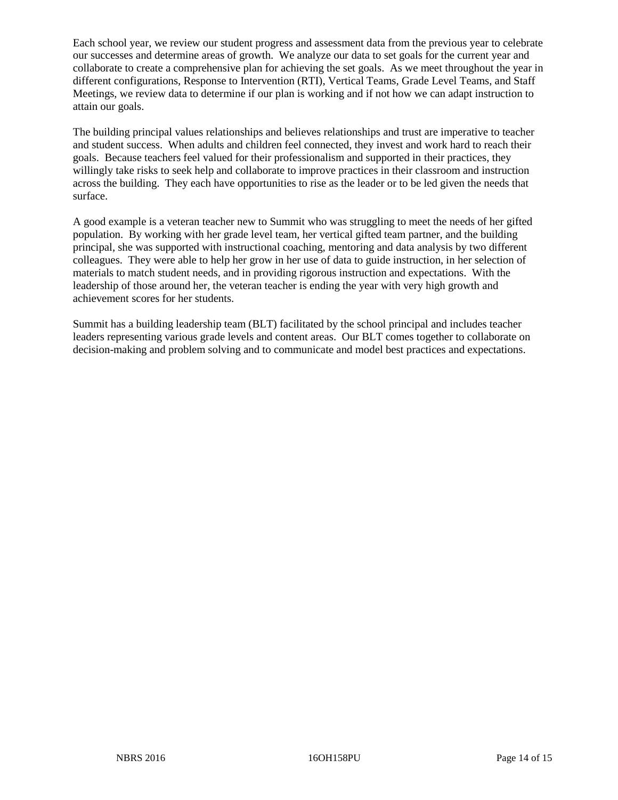Each school year, we review our student progress and assessment data from the previous year to celebrate our successes and determine areas of growth. We analyze our data to set goals for the current year and collaborate to create a comprehensive plan for achieving the set goals. As we meet throughout the year in different configurations, Response to Intervention (RTI), Vertical Teams, Grade Level Teams, and Staff Meetings, we review data to determine if our plan is working and if not how we can adapt instruction to attain our goals.

The building principal values relationships and believes relationships and trust are imperative to teacher and student success. When adults and children feel connected, they invest and work hard to reach their goals. Because teachers feel valued for their professionalism and supported in their practices, they willingly take risks to seek help and collaborate to improve practices in their classroom and instruction across the building. They each have opportunities to rise as the leader or to be led given the needs that surface.

A good example is a veteran teacher new to Summit who was struggling to meet the needs of her gifted population. By working with her grade level team, her vertical gifted team partner, and the building principal, she was supported with instructional coaching, mentoring and data analysis by two different colleagues. They were able to help her grow in her use of data to guide instruction, in her selection of materials to match student needs, and in providing rigorous instruction and expectations. With the leadership of those around her, the veteran teacher is ending the year with very high growth and achievement scores for her students.

Summit has a building leadership team (BLT) facilitated by the school principal and includes teacher leaders representing various grade levels and content areas. Our BLT comes together to collaborate on decision-making and problem solving and to communicate and model best practices and expectations.